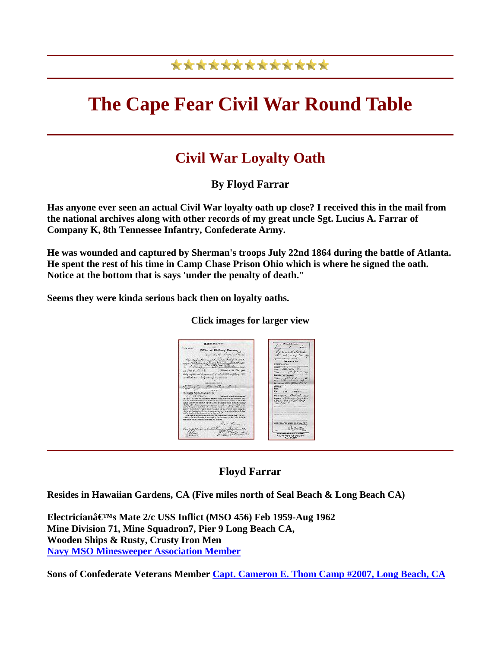## \*\*\*\*\*\*\*\*\*\*\*\*\*

# **The Cape Fear Civil War Round Table**

### **Civil War Loyalty Oath**

**By Floyd Farrar** 

**Has anyone ever seen an actual Civil War loyalty oath up close? I received this in the mail from the national archives along with other records of my great uncle Sgt. Lucius A. Farrar of Company K, 8th Tennessee Infantry, Confederate Army.** 

**He was wounded and captured by Sherman's troops July 22nd 1864 during the battle of Atlanta. He spent the rest of his time in Camp Chase Prison Ohio which is where he signed the oath. Notice at the bottom that is says 'under the penalty of death."** 

**Seems they were kinda serious back then on loyalty oaths.**

#### **Click images for larger view**



#### **Floyd Farrar**

**Resides in Hawaiian Gardens, CA (Five miles north of Seal Beach & Long Beach CA)** 

**Electrician's Mate 2/c USS Inflict (MSO 456) Feb 1959-Aug 1962 Mine Division 71, Mine Squadron7, Pier 9 Long Beach CA, Wooden Ships & Rusty, Crusty Iron Men [Navy MSO Minesweeper Association Member](http://nmsoa.org/nmsoa.html)**

**Sons of Confederate Veterans Member [Capt. Cameron E. Thom Camp #2007, Long Beach, CA](http://camp2007.scv.org/)**